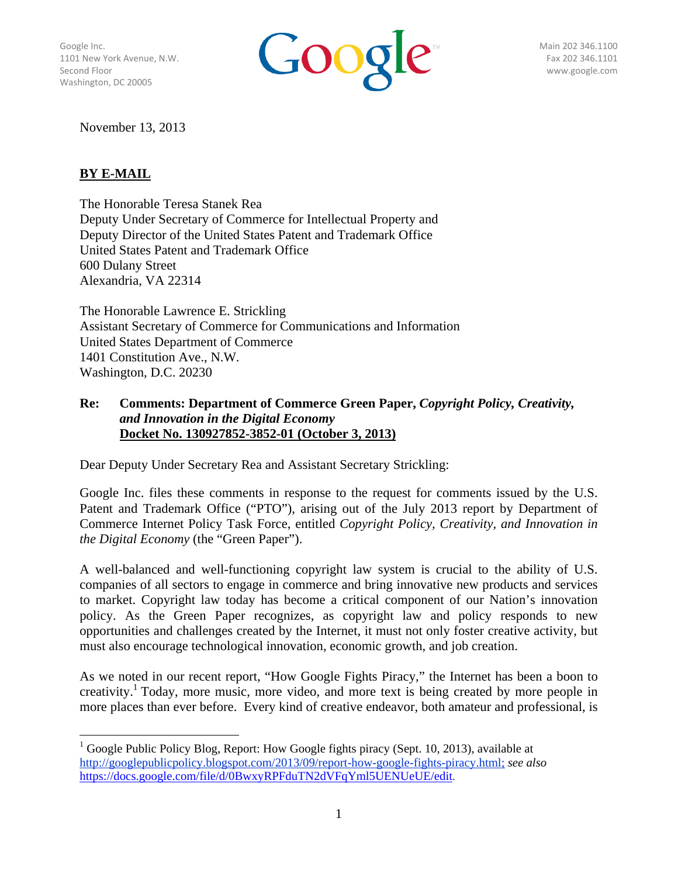Washington, DC 20005



November 13, 2013

 

# **BY E-MAIL**

The Honorable Teresa Stanek Rea Deputy Under Secretary of Commerce for Intellectual Property and Deputy Director of the United States Patent and Trademark Office United States Patent and Trademark Office 600 Dulany Street Alexandria, VA 22314

The Honorable Lawrence E. Strickling Assistant Secretary of Commerce for Communications and Information United States Department of Commerce 1401 Constitution Ave., N.W. Washington, D.C. 20230

#### **Re: Comments: Department of Commerce Green Paper,** *Copyright Policy, Creativity, and Innovation in the Digital Economy* **Docket No. 130927852-3852-01 (October 3, 2013)**

Dear Deputy Under Secretary Rea and Assistant Secretary Strickling:

Google Inc. files these comments in response to the request for comments issued by the U.S. Patent and Trademark Office ("PTO"), arising out of the July 2013 report by Department of Commerce Internet Policy Task Force, entitled *Copyright Policy, Creativity, and Innovation in the Digital Economy* (the "Green Paper").

A well-balanced and well-functioning copyright law system is crucial to the ability of U.S. companies of all sectors to engage in commerce and bring innovative new products and services to market. Copyright law today has become a critical component of our Nation's innovation policy. As the Green Paper recognizes, as copyright law and policy responds to new opportunities and challenges created by the Internet, it must not only foster creative activity, but must also encourage technological innovation, economic growth, and job creation.

As we noted in our recent report, "How Google Fights Piracy," the Internet has been a boon to creativity.<sup>1</sup> Today, more music, more video, and more text is being created by more people in more places than ever before. Every kind of creative endeavor, both amateur and professional, is

 $1$  Google Public Policy Blog, Report: How Google fights piracy (Sept. 10, 2013), available at http://googlepublicpolicy.blogspot.com/2013/09/report-how-google-fights-piracy.html; *see also* https://docs.google.com/file/d/0BwxyRPFduTN2dVFqYml5UENUeUE/edit.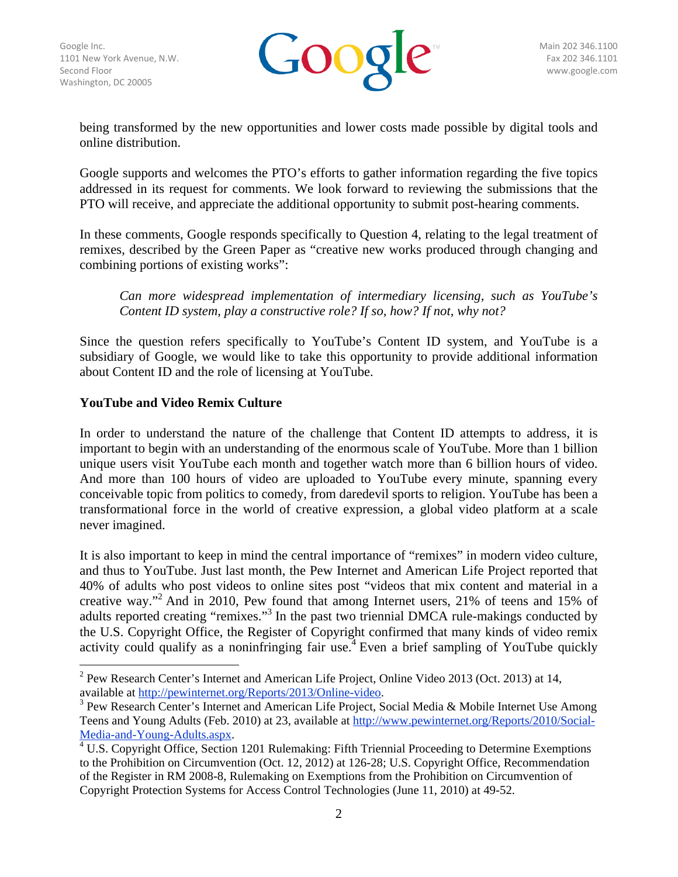

being transformed by the new opportunities and lower costs made possible by digital tools and online distribution.

Google supports and welcomes the PTO's efforts to gather information regarding the five topics addressed in its request for comments. We look forward to reviewing the submissions that the PTO will receive, and appreciate the additional opportunity to submit post-hearing comments.

In these comments, Google responds specifically to Question 4, relating to the legal treatment of remixes, described by the Green Paper as "creative new works produced through changing and combining portions of existing works":

*Can more widespread implementation of intermediary licensing, such as YouTube's Content ID system, play a constructive role? If so, how? If not, why not?*

Since the question refers specifically to YouTube's Content ID system, and YouTube is a subsidiary of Google, we would like to take this opportunity to provide additional information about Content ID and the role of licensing at YouTube.

## **YouTube and Video Remix Culture**

 

In order to understand the nature of the challenge that Content ID attempts to address, it is important to begin with an understanding of the enormous scale of YouTube. More than 1 billion unique users visit YouTube each month and together watch more than 6 billion hours of video. And more than 100 hours of video are uploaded to YouTube every minute, spanning every conceivable topic from politics to comedy, from daredevil sports to religion. YouTube has been a transformational force in the world of creative expression, a global video platform at a scale never imagined.

It is also important to keep in mind the central importance of "remixes" in modern video culture, and thus to YouTube. Just last month, the Pew Internet and American Life Project reported that 40% of adults who post videos to online sites post "videos that mix content and material in a creative way."<sup>2</sup> And in 2010, Pew found that among Internet users, 21% of teens and 15% of adults reported creating "remixes."<sup>3</sup> In the past two triennial DMCA rule-makings conducted by the U.S. Copyright Office, the Register of Copyright confirmed that many kinds of video remix activity could qualify as a noninfringing fair use.<sup>4</sup> Even a brief sampling of YouTube quickly

<sup>&</sup>lt;sup>2</sup> Pew Research Center's Internet and American Life Project, Online Video 2013 (Oct. 2013) at 14, available at http://pewinternet.org/Reports/2013/Online-video. 3

 $3$  Pew Research Center's Internet and American Life Project, Social Media & Mobile Internet Use Among Teens and Young Adults (Feb. 2010) at 23, available at http://www.pewinternet.org/Reports/2010/Social-Media-and-Young-Adults.aspx.

 $4$  U.S. Copyright Office, Section 1201 Rulemaking: Fifth Triennial Proceeding to Determine Exemptions to the Prohibition on Circumvention (Oct. 12, 2012) at 126-28; U.S. Copyright Office, Recommendation of the Register in RM 2008-8, Rulemaking on Exemptions from the Prohibition on Circumvention of Copyright Protection Systems for Access Control Technologies (June 11, 2010) at 49-52.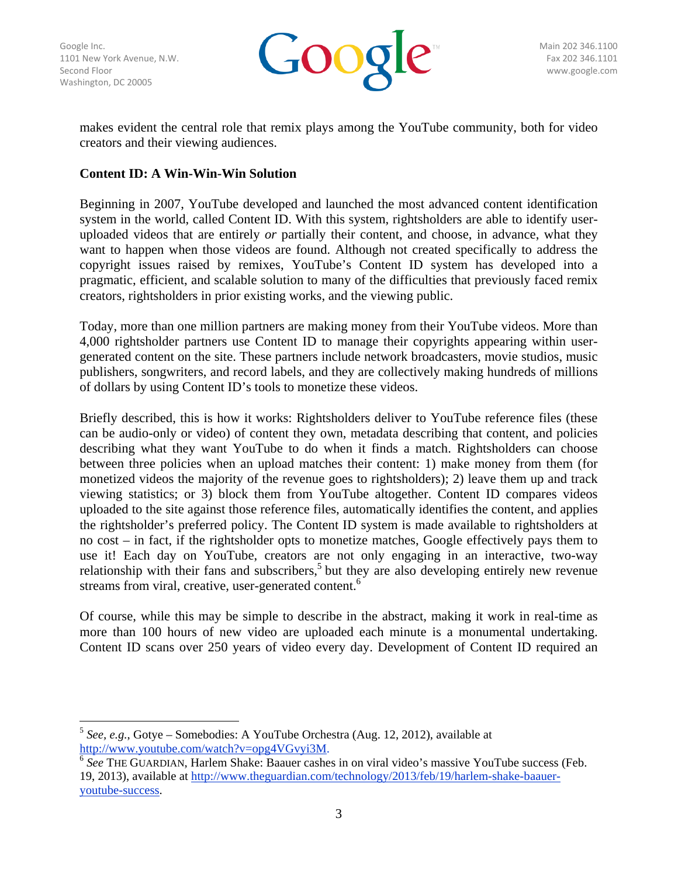Washington, DC 20005



makes evident the central role that remix plays among the YouTube community, both for video creators and their viewing audiences.

### **Content ID: A Win-Win-Win Solution**

Beginning in 2007, YouTube developed and launched the most advanced content identification system in the world, called Content ID. With this system, rightsholders are able to identify useruploaded videos that are entirely *or* partially their content, and choose, in advance, what they want to happen when those videos are found. Although not created specifically to address the copyright issues raised by remixes, YouTube's Content ID system has developed into a pragmatic, efficient, and scalable solution to many of the difficulties that previously faced remix creators, rightsholders in prior existing works, and the viewing public.

Today, more than one million partners are making money from their YouTube videos. More than 4,000 rightsholder partners use Content ID to manage their copyrights appearing within usergenerated content on the site. These partners include network broadcasters, movie studios, music publishers, songwriters, and record labels, and they are collectively making hundreds of millions of dollars by using Content ID's tools to monetize these videos.

Briefly described, this is how it works: Rightsholders deliver to YouTube reference files (these can be audio-only or video) of content they own, metadata describing that content, and policies describing what they want YouTube to do when it finds a match. Rightsholders can choose between three policies when an upload matches their content: 1) make money from them (for monetized videos the majority of the revenue goes to rightsholders); 2) leave them up and track viewing statistics; or 3) block them from YouTube altogether. Content ID compares videos uploaded to the site against those reference files, automatically identifies the content, and applies the rightsholder's preferred policy. The Content ID system is made available to rightsholders at no cost – in fact, if the rightsholder opts to monetize matches, Google effectively pays them to use it! Each day on YouTube, creators are not only engaging in an interactive, two-way relationship with their fans and subscribers,<sup>5</sup> but they are also developing entirely new revenue streams from viral, creative, user-generated content.<sup>6</sup>

Of course, while this may be simple to describe in the abstract, making it work in real-time as more than 100 hours of new video are uploaded each minute is a monumental undertaking. Content ID scans over 250 years of video every day. Development of Content ID required an

 

<sup>5</sup> *See, e.g.*, Gotye – Somebodies: A YouTube Orchestra (Aug. 12, 2012), available at http://www.youtube.com/watch?v=opg4VGvyi3M.

<sup>&</sup>lt;sup>6</sup> See THE GUARDIAN, Harlem Shake: Baauer cashes in on viral video's massive YouTube success (Feb. 19, 2013), available at http://www.theguardian.com/technology/2013/feb/19/harlem-shake-baaueryoutube-success.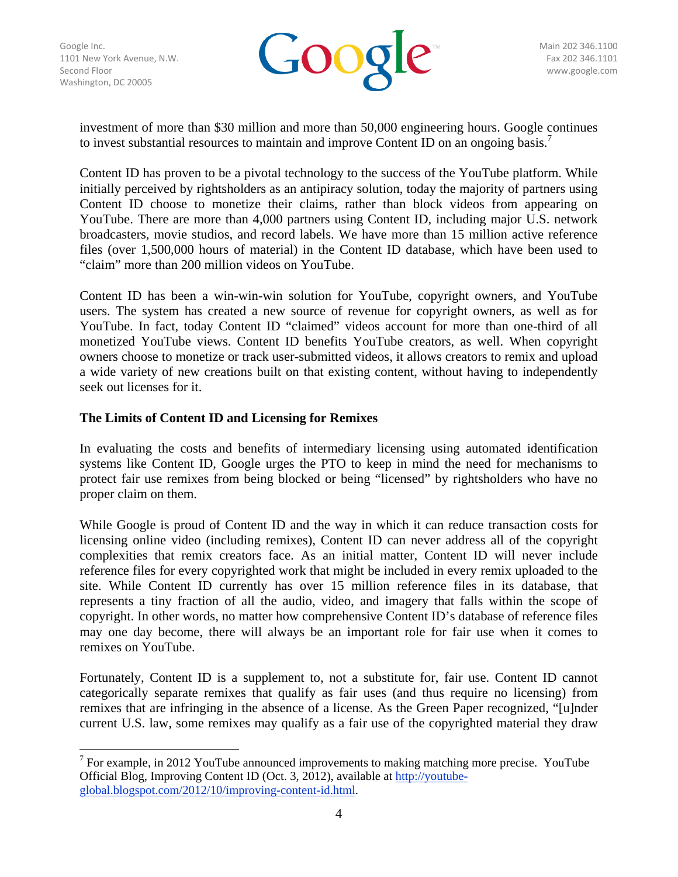

investment of more than \$30 million and more than 50,000 engineering hours. Google continues to invest substantial resources to maintain and improve Content ID on an ongoing basis.<sup>7</sup>

Content ID has proven to be a pivotal technology to the success of the YouTube platform. While initially perceived by rightsholders as an antipiracy solution, today the majority of partners using Content ID choose to monetize their claims, rather than block videos from appearing on YouTube. There are more than 4,000 partners using Content ID, including major U.S. network broadcasters, movie studios, and record labels. We have more than 15 million active reference files (over 1,500,000 hours of material) in the Content ID database, which have been used to "claim" more than 200 million videos on YouTube.

Content ID has been a win-win-win solution for YouTube, copyright owners, and YouTube users. The system has created a new source of revenue for copyright owners, as well as for YouTube. In fact, today Content ID "claimed" videos account for more than one-third of all monetized YouTube views. Content ID benefits YouTube creators, as well. When copyright owners choose to monetize or track user-submitted videos, it allows creators to remix and upload a wide variety of new creations built on that existing content, without having to independently seek out licenses for it.

#### **The Limits of Content ID and Licensing for Remixes**

 

In evaluating the costs and benefits of intermediary licensing using automated identification systems like Content ID, Google urges the PTO to keep in mind the need for mechanisms to protect fair use remixes from being blocked or being "licensed" by rightsholders who have no proper claim on them.

While Google is proud of Content ID and the way in which it can reduce transaction costs for licensing online video (including remixes), Content ID can never address all of the copyright complexities that remix creators face. As an initial matter, Content ID will never include reference files for every copyrighted work that might be included in every remix uploaded to the site. While Content ID currently has over 15 million reference files in its database, that represents a tiny fraction of all the audio, video, and imagery that falls within the scope of copyright. In other words, no matter how comprehensive Content ID's database of reference files may one day become, there will always be an important role for fair use when it comes to remixes on YouTube.

Fortunately, Content ID is a supplement to, not a substitute for, fair use. Content ID cannot categorically separate remixes that qualify as fair uses (and thus require no licensing) from remixes that are infringing in the absence of a license. As the Green Paper recognized, "[u]nder current U.S. law, some remixes may qualify as a fair use of the copyrighted material they draw

<sup>7</sup> For example, in 2012 YouTube announced improvements to making matching more precise.YouTube Official Blog, Improving Content ID (Oct. 3, 2012), available at http://youtubeglobal.blogspot.com/2012/10/improving-content-id.html.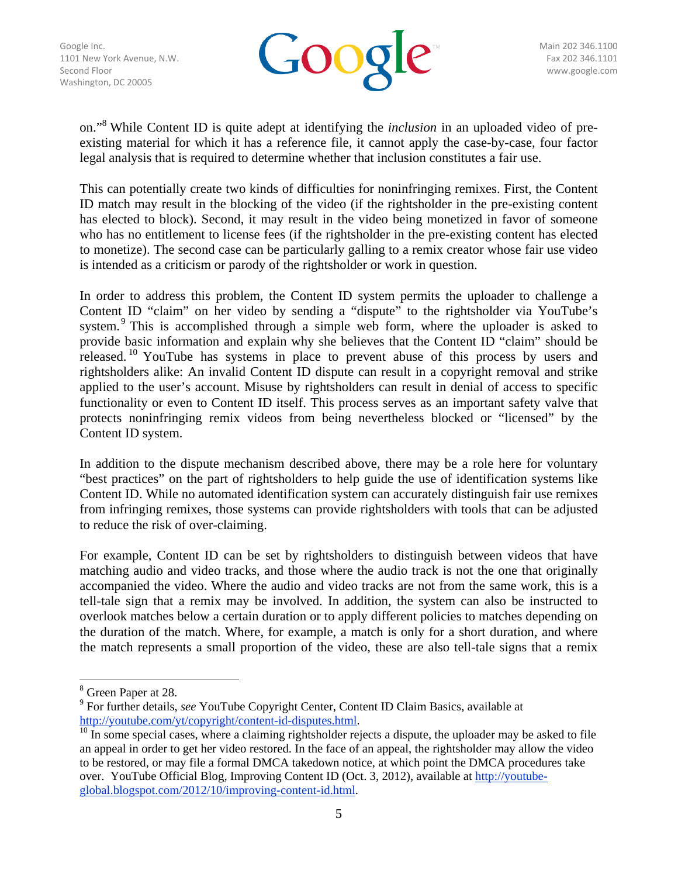

on."<sup>8</sup> While Content ID is quite adept at identifying the *inclusion* in an uploaded video of preexisting material for which it has a reference file, it cannot apply the case-by-case, four factor legal analysis that is required to determine whether that inclusion constitutes a fair use.

This can potentially create two kinds of difficulties for noninfringing remixes. First, the Content ID match may result in the blocking of the video (if the rightsholder in the pre-existing content has elected to block). Second, it may result in the video being monetized in favor of someone who has no entitlement to license fees (if the rightsholder in the pre-existing content has elected to monetize). The second case can be particularly galling to a remix creator whose fair use video is intended as a criticism or parody of the rightsholder or work in question.

In order to address this problem, the Content ID system permits the uploader to challenge a Content ID "claim" on her video by sending a "dispute" to the rightsholder via YouTube's system.<sup>9</sup> This is accomplished through a simple web form, where the uploader is asked to provide basic information and explain why she believes that the Content ID "claim" should be released.<sup>10</sup> YouTube has systems in place to prevent abuse of this process by users and rightsholders alike: An invalid Content ID dispute can result in a copyright removal and strike applied to the user's account. Misuse by rightsholders can result in denial of access to specific functionality or even to Content ID itself. This process serves as an important safety valve that protects noninfringing remix videos from being nevertheless blocked or "licensed" by the Content ID system.

In addition to the dispute mechanism described above, there may be a role here for voluntary "best practices" on the part of rightsholders to help guide the use of identification systems like Content ID. While no automated identification system can accurately distinguish fair use remixes from infringing remixes, those systems can provide rightsholders with tools that can be adjusted to reduce the risk of over-claiming.

For example, Content ID can be set by rightsholders to distinguish between videos that have matching audio and video tracks, and those where the audio track is not the one that originally accompanied the video. Where the audio and video tracks are not from the same work, this is a tell-tale sign that a remix may be involved. In addition, the system can also be instructed to overlook matches below a certain duration or to apply different policies to matches depending on the duration of the match. Where, for example, a match is only for a short duration, and where the match represents a small proportion of the video, these are also tell-tale signs that a remix

 

<sup>8</sup> Green Paper at 28.

<sup>9</sup> For further details, *see* YouTube Copyright Center, Content ID Claim Basics, available at

 $\frac{http://youtube.com/yt/copyright/content-id-disputes.html}{10}$  In some special cases, where a claiming rightsholder rejects a dispute, the uploader may be asked to file an appeal in order to get her video restored. In the face of an appeal, the rightsholder may allow the video to be restored, or may file a formal DMCA takedown notice, at which point the DMCA procedures take over. YouTube Official Blog, Improving Content ID (Oct. 3, 2012), available at http://youtubeglobal.blogspot.com/2012/10/improving-content-id.html.